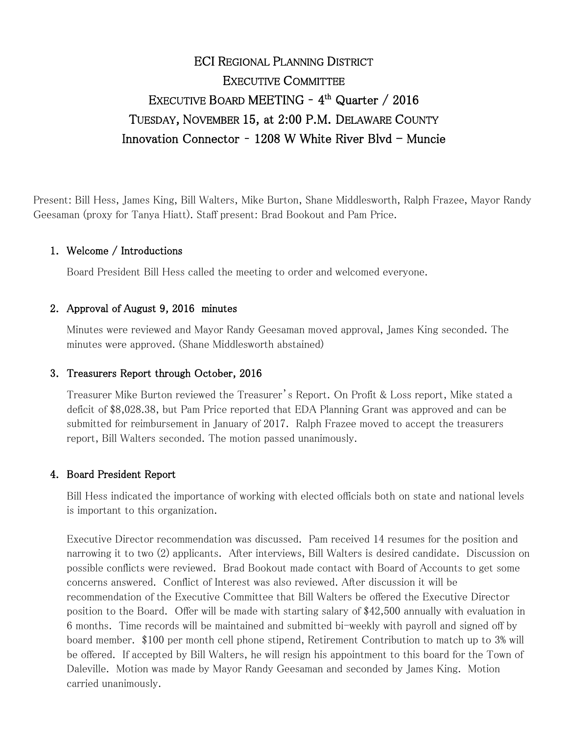# ECI REGIONAL PLANNING DISTRICT EXECUTIVE COMMITTEE EXECUTIVE BOARD MEETING - 4<sup>th</sup> Quarter / 2016 TUESDAY, NOVEMBER 15, at 2:00 P.M. DELAWARE COUNTY Innovation Connector -  $1208$  W White River Blvd - Muncie

Present: Bill Hess, James King, Bill Walters, Mike Burton, Shane Middlesworth, Ralph Frazee, Mayor Randy Geesaman (proxy for Tanya Hiatt). Staff present: Brad Bookout and Pam Price.

### 1. Welcome / Introductions

Board President Bill Hess called the meeting to order and welcomed everyone.

#### 2. Approval of August 9, 2016 minutes

Minutes were reviewed and Mayor Randy Geesaman moved approval, James King seconded. The minutes were approved. (Shane Middlesworth abstained)

#### 3. Treasurers Report through October, 2016

Treasurer Mike Burton reviewed the Treasurer's Report. On Profit & Loss report, Mike stated a deficit of \$8,028.38, but Pam Price reported that EDA Planning Grant was approved and can be submitted for reimbursement in January of 2017. Ralph Frazee moved to accept the treasurers report, Bill Walters seconded. The motion passed unanimously.

#### 4. Board President Report

Bill Hess indicated the importance of working with elected officials both on state and national levels is important to this organization.

Executive Director recommendation was discussed. Pam received 14 resumes for the position and narrowing it to two (2) applicants. After interviews, Bill Walters is desired candidate. Discussion on possible conflicts were reviewed. Brad Bookout made contact with Board of Accounts to get some concerns answered. Conflict of Interest was also reviewed. After discussion it will be recommendation of the Executive Committee that Bill Walters be offered the Executive Director position to the Board. Offer will be made with starting salary of \$42,500 annually with evaluation in 6 months. Time records will be maintained and submitted bi-weekly with payroll and signed off by board member. \$100 per month cell phone stipend, Retirement Contribution to match up to 3% will be offered. If accepted by Bill Walters, he will resign his appointment to this board for the Town of Daleville. Motion was made by Mayor Randy Geesaman and seconded by James King. Motion carried unanimously.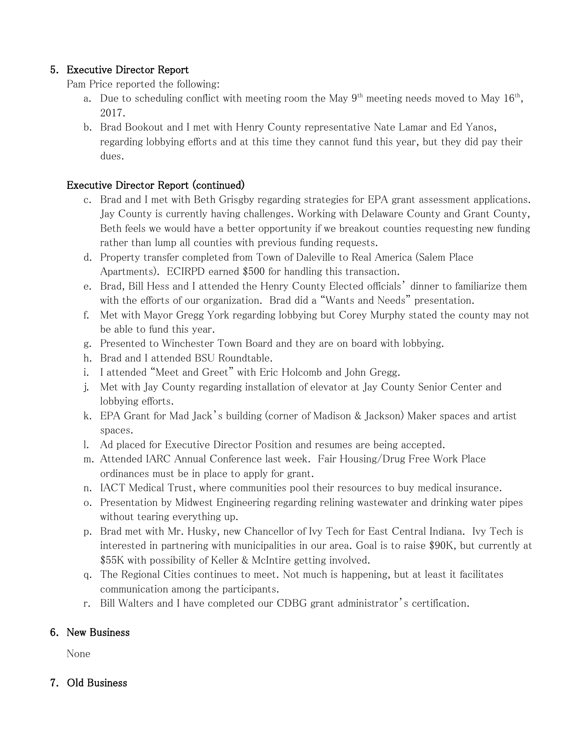## 5. Executive Director Report

Pam Price reported the following:

- a. Due to scheduling conflict with meeting room the May  $9<sup>th</sup>$  meeting needs moved to May  $16<sup>th</sup>$ , 2017.
- b. Brad Bookout and I met with Henry County representative Nate Lamar and Ed Yanos, regarding lobbying efforts and at this time they cannot fund this year, but they did pay their dues.

### Executive Director Report (continued)

- c. Brad and I met with Beth Grisgby regarding strategies for EPA grant assessment applications. Jay County is currently having challenges. Working with Delaware County and Grant County, Beth feels we would have a better opportunity if we breakout counties requesting new funding rather than lump all counties with previous funding requests.
- d. Property transfer completed from Town of Daleville to Real America (Salem Place Apartments). ECIRPD earned \$500 for handling this transaction.
- e. Brad, Bill Hess and I attended the Henry County Elected officials' dinner to familiarize them with the efforts of our organization. Brad did a "Wants and Needs" presentation.
- f. Met with Mayor Gregg York regarding lobbying but Corey Murphy stated the county may not be able to fund this year.
- g. Presented to Winchester Town Board and they are on board with lobbying.
- h. Brad and I attended BSU Roundtable.
- i. I attended "Meet and Greet" with Eric Holcomb and John Gregg.
- j. Met with Jay County regarding installation of elevator at Jay County Senior Center and lobbying efforts.
- k. EPA Grant for Mad Jack's building (corner of Madison & Jackson) Maker spaces and artist spaces.
- l. Ad placed for Executive Director Position and resumes are being accepted.
- m. Attended IARC Annual Conference last week. Fair Housing/Drug Free Work Place ordinances must be in place to apply for grant.
- n. IACT Medical Trust, where communities pool their resources to buy medical insurance.
- o. Presentation by Midwest Engineering regarding relining wastewater and drinking water pipes without tearing everything up.
- p. Brad met with Mr. Husky, new Chancellor of Ivy Tech for East Central Indiana. Ivy Tech is interested in partnering with municipalities in our area. Goal is to raise \$90K, but currently at \$55K with possibility of Keller & McIntire getting involved.
- q. The Regional Cities continues to meet. Not much is happening, but at least it facilitates communication among the participants.
- r. Bill Walters and I have completed our CDBG grant administrator's certification.

### 6. New Business

None

### 7. Old Business